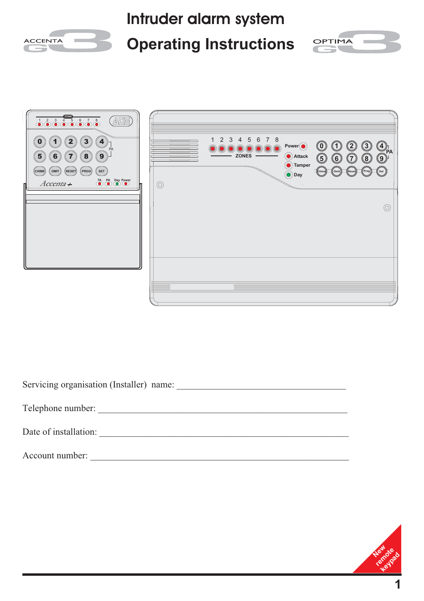

| Servicing organisation (Installer) name: |
|------------------------------------------|
| Telephone number:                        |
| Date of installation:                    |
| Account number:                          |

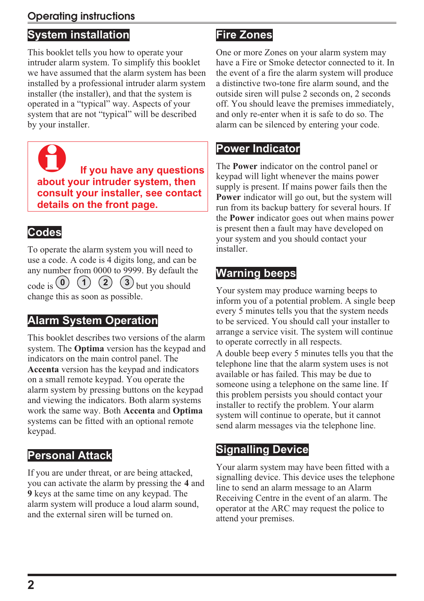### **Operating instructions**

# **System installation**

This booklet tells you how to operate your intruder alarm system. To simplify this booklet we have assumed that the alarm system has been installed by a professional intruder alarm system installer (the installer), and that the system is operated in a "typical" way. Aspects of your system that are not "typical" will be described by your installer.

0 **If you have any questions about your intruder system, then consult your installer, see contact details on the front page.**

### **Codes**

To operate the alarm system you will need to use a code. A code is 4 digits long, and can be any number from 0000 to 9999. By default the  $\left(3\right)$  but you should change this as soon as possible.  $\cos \theta$  **(1) (2)** 

### **Alarm System Operation**

This booklet describes two versions of the alarm system. The **Optima** version has the keypad and indicators on the main control panel. The **Accenta** version has the keypad and indicators on a small remote keypad. You operate the alarm system by pressing buttons on the keypad and viewing the indicators. Both alarm systems work the same way. Both **Accenta** and **Optima** systems can be fitted with an optional remote keypad.

### **Personal Attack**

If you are under threat, or are being attacked, you can activate the alarm by pressing the **4** and **9** keys at the same time on any keypad. The alarm system will produce a loud alarm sound, and the external siren will be turned on.

### **Fire Zones**

One or more Zones on your alarm system may have a Fire or Smoke detector connected to it. In the event of a fire the alarm system will produce a distinctive two-tone fire alarm sound, and the outside siren will pulse 2 seconds on, 2 seconds off. You should leave the premises immediately, and only re-enter when it is safe to do so. The alarm can be silenced by entering your code.

### **Power Indicator**

The **Power** indicator on the control panel or keypad will light whenever the mains power supply is present. If mains power fails then the **Power** indicator will go out, but the system will run from its backup battery for several hours. If the **Power** indicator goes out when mains power is present then a fault may have developed on your system and you should contact your installer.

### **Warning beeps**

Your system may produce warning beeps to inform you of a potential problem. A single beep every 5 minutes tells you that the system needs to be serviced. You should call your installer to arrange a service visit. The system will continue to operate correctly in all respects.

A double beep every 5 minutes tells you that the telephone line that the alarm system uses is not available or has failed. This may be due to someone using a telephone on the same line. If this problem persists you should contact your installer to rectify the problem. Your alarm system will continue to operate, but it cannot send alarm messages via the telephone line.

# **Signalling Device**

Your alarm system may have been fitted with a signalling device. This device uses the telephone line to send an alarm message to an Alarm Receiving Centre in the event of an alarm. The operator at the ARC may request the police to attend your premises.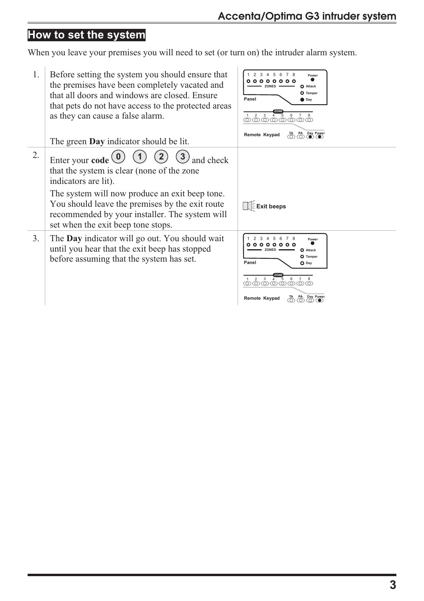# **How to set the system**

When you leave your premises you will need to set (or turn on) the intruder alarm system.

| 1. | Before setting the system you should ensure that<br>the premises have been completely vacated and<br>that all doors and windows are closed. Ensure<br>that pets do not have access to the protected areas<br>as they can cause a false alarm.<br>The green <b>Day</b> indicator should be lit.  | 7 8<br>Power<br>0 0 0<br>o<br><b>ZONES</b><br><b>O</b> Attack<br>O Tamper<br>Panel<br>$\Box$ Day<br>-5<br>തതതതത്തതത<br>TA PA Day Power<br>Remote Keypad                             |
|----|-------------------------------------------------------------------------------------------------------------------------------------------------------------------------------------------------------------------------------------------------------------------------------------------------|-------------------------------------------------------------------------------------------------------------------------------------------------------------------------------------|
| 2. | Enter your code<br>and check<br>that the system is clear (none of the zone<br>indicators are lit).<br>The system will now produce an exit beep tone.<br>You should leave the premises by the exit route<br>recommended by your installer. The system will<br>set when the exit beep tone stops. | $\left[\right]$ Exit beeps                                                                                                                                                          |
| 3. | The <b>Day</b> indicator will go out. You should wait<br>until you hear that the exit beep has stopped<br>before assuming that the system has set.                                                                                                                                              | Power<br>$\circ$ $\circ$<br>$\circ$ $\circ$<br>O Attack<br><b>ZONES</b><br>O Tamper<br>Panel<br>$O$ Day<br>5<br>-2<br>3<br>6<br>തതതതതത<br>PA Day Power<br>Remote Keypad<br>ത<br>(O) |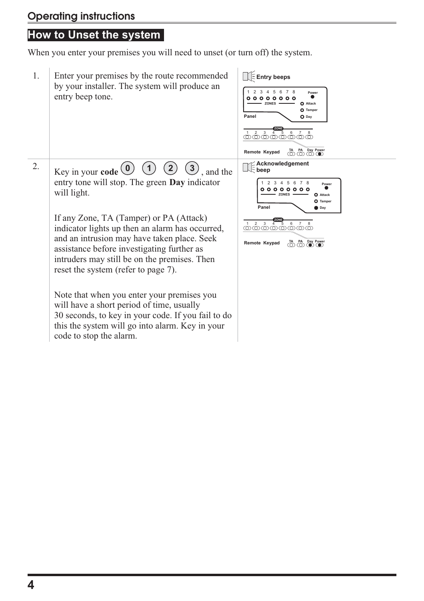### **How to Unset the system**

When you enter your premises you will need to unset (or turn off) the system.

1. Enter your premises by the route recommended by your installer. The system will produce an entry beep tone. 2. Key in your **code**  $\begin{pmatrix} 0 & 1 \end{pmatrix}$   $\begin{pmatrix} 2 & 3 \end{pmatrix}$ , and the entry tone will stop. The green **Day** indicator will light. If any Zone, TA (Tamper) or PA (Attack) indicator lights up then an alarm has occurred, and an intrusion may have taken place. Seek assistance before investigating further as intruders may still be on the premises. Then reset the system (refer to page 7). Note that when you enter your premises you will have a short period of time, usually 30 seconds, to key in your code. If you fail to do this the system will go into alarm. Key in your code to stop the alarm. **Entry beeps 0 (1) (2) (3)** and the  $\Box$  beep **ZONES O** Attack **O** Tamper **Day** 1 2 3 4 5 6 7 8 **Power**<br>**0 0 0 0 0 0 0 0 0 0 10 Panel ZONES**  $\longrightarrow$  **O** Attack **O** Tampe **Day** 1 2 3 4 5 6 7 8 **Power**<br>**0 0 0 0 0 0 0 0 0 0 10 Panel ZONE**<br>
2 3 4 5 6 7 8 **Remote Keypad TA PA Day Power**<br> **C C C C C ZONE** 1 2 3 4 5 6 7 8 **Remote Keypad TA** PA Day Power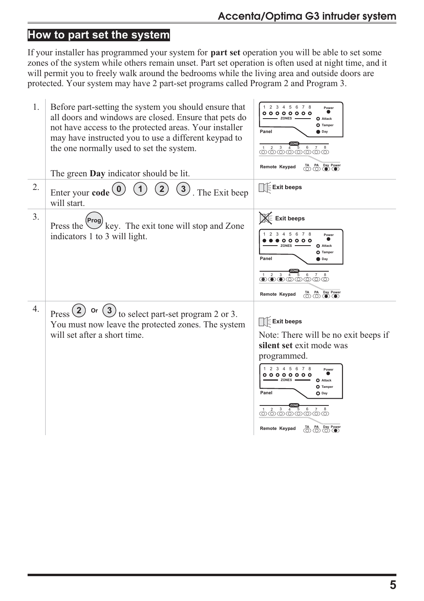# **How to part set the system**

If your installer has programmed your system for **part set** operation you will be able to set some zones of the system while others remain unset. Part set operation is often used at night time, and it will permit you to freely walk around the bedrooms while the living area and outside doors are protected. Your system may have 2 part-set programs called Program 2 and Program 3.

| 1.               | Before part-setting the system you should ensure that<br>all doors and windows are closed. Ensure that pets do<br>not have access to the protected areas. Your installer<br>may have instructed you to use a different keypad to<br>the one normally used to set the system.<br>The green <b>Day</b> indicator should be lit. | 2 3 4 5 6 7 8<br>Power<br>000000000<br><b>ZONES</b><br><b>O</b> Attack<br>O Tamper<br>Panel<br>Day<br><u>12345678</u><br>TA PA Day Power<br>Remote Keypad                                                                                                                                                                                                                                                   |
|------------------|-------------------------------------------------------------------------------------------------------------------------------------------------------------------------------------------------------------------------------------------------------------------------------------------------------------------------------|-------------------------------------------------------------------------------------------------------------------------------------------------------------------------------------------------------------------------------------------------------------------------------------------------------------------------------------------------------------------------------------------------------------|
| 2.               | $\binom{3}{ }$<br>$\overline{2}$<br>Enter your code <sup>1</sup><br>. The Exit beep<br>will start.                                                                                                                                                                                                                            | $\bigcap$ Exit beeps                                                                                                                                                                                                                                                                                                                                                                                        |
| 3.               | Press the <sup>(Prog)</sup> key. The exit tone will stop and Zone<br>indicators 1 to 3 will light.                                                                                                                                                                                                                            | <b>Exit beeps</b><br>4 5 6 7 8<br>Power<br>$00000$<br>ZONES<br><b>O</b> Attack<br>O Tamper<br>Panel<br><b>D</b> Dav<br>0.2345878<br>$\bigoplus$ $\bigoplus$ $\bigoplus$ $\bigoplus$ $\bigoplus$ $\bigoplus$<br>Remote Keypad                                                                                                                                                                                |
| $\overline{4}$ . | Press(2)<br>Or<br>to select part-set program 2 or 3.<br>You must now leave the protected zones. The system<br>will set after a short time.                                                                                                                                                                                    | $\bigcap$ Exit beeps<br>Note: There will be no exit beeps if<br>silent set exit mode was<br>programmed.<br>1 2 3 4 5 6 7 8<br>Power<br>000000000<br><b>ZONES</b><br><b>O</b> Attack<br>O Tamper<br>Panel<br>$O$ Day<br>2<br>$\mathbf{3}$<br>$\overline{5}$<br>$\,6\,$<br>@@@@@@@@<br>$\bigoplus_{n=1}^{\infty} \bigoplus_{n=1}^{\infty} \bigoplus_{n=1}^{\infty} \bigoplus_{n=1}^{\infty}$<br>Remote Keypad |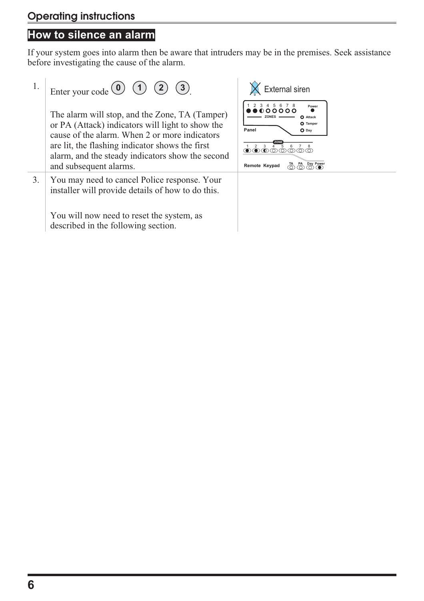# **How to silence an alarm**

If your system goes into alarm then be aware that intruders may be in the premises. Seek assistance before investigating the cause of the alarm.

| 1. | Enter your code $\begin{pmatrix} 0 \\ 1 \end{pmatrix}$ $\begin{pmatrix} 1 \\ 2 \end{pmatrix}$ $\begin{pmatrix} 3 \\ 3 \end{pmatrix}$                                                                                                                                                 |
|----|--------------------------------------------------------------------------------------------------------------------------------------------------------------------------------------------------------------------------------------------------------------------------------------|
|    | The alarm will stop, and the Zone, TA (Tamper)<br>or PA (Attack) indicators will light to show the<br>cause of the alarm. When 2 or more indicators<br>are lit, the flashing indicator shows the first<br>alarm, and the steady indicators show the second<br>and subsequent alarms. |
| 3. | You may need to cancel Police response. Your<br>installer will provide details of how to do this.                                                                                                                                                                                    |
|    | You will now need to reset the system, as<br>described in the following section.                                                                                                                                                                                                     |

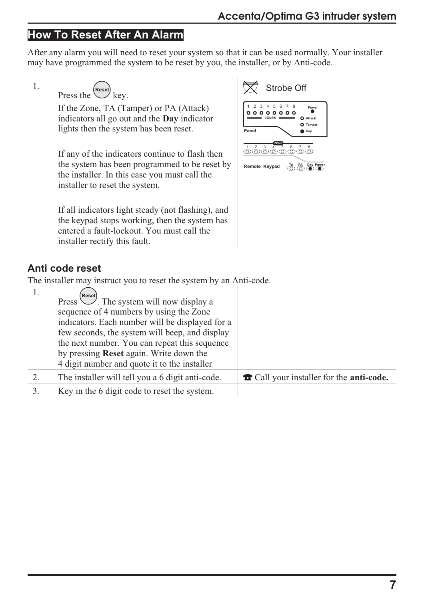### **How To Reset After An Alarm**

After any alarm you will need to reset your system so that it can be used normally. Your installer may have programmed the system to be reset by you, the installer, or by Anti-code.

1.

Press the  $\overset{\text{(Reset)}}{\bigvee}$  key.

If the Zone, TA (Tamper) or PA (Attack) indicators all go out and the **Day** indicator lights then the system has been reset.

If any of the indicators continue to flash then the system has been programmed to be reset by the installer. In this case you must call the installer to reset the system.

If all indicators light steady (not flashing), and the keypad stops working, then the system has entered a fault-lockout. You must call the installer rectify this fault.



#### **Anti code reset**

The installer may instruct you to reset the system by an Anti-code.

| Reset)<br>sequence of 4 numbers by using the Zone<br>indicators. Each number will be displayed for a<br>few seconds, the system will beep, and display<br>the next number. You can repeat this sequence<br>by pressing <b>Reset</b> again. Write down the<br>4 digit number and quote it to the installer |                                                         |
|-----------------------------------------------------------------------------------------------------------------------------------------------------------------------------------------------------------------------------------------------------------------------------------------------------------|---------------------------------------------------------|
| The installer will tell you a 6 digit anti-code.                                                                                                                                                                                                                                                          | <b>T</b> Call your installer for the <b>anti-code</b> . |
| Key in the 6 digit code to reset the system.                                                                                                                                                                                                                                                              |                                                         |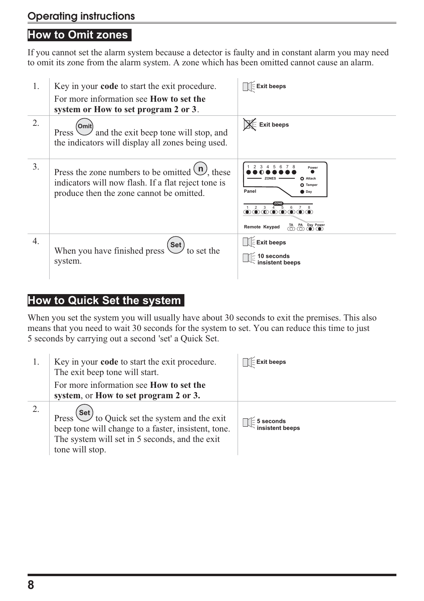#### **How to Omit zones**

If you cannot set the alarm system because a detector is faulty and in constant alarm you may need to omit its zone from the alarm system. A zone which has been omitted cannot cause an alarm.

| 1.               | Key in your <b>code</b> to start the exit procedure.<br>For more information see <b>How to set the</b>                                                        | Exit beeps                                                                                                                                                                                                                                                                                                                                                                                                                              |
|------------------|---------------------------------------------------------------------------------------------------------------------------------------------------------------|-----------------------------------------------------------------------------------------------------------------------------------------------------------------------------------------------------------------------------------------------------------------------------------------------------------------------------------------------------------------------------------------------------------------------------------------|
| 2.               | system or How to set program 2 or 3.<br>Omit<br>and the exit beep tone will stop, and<br>Press<br>the indicators will display all zones being used.           | <b>X</b> Exit beeps                                                                                                                                                                                                                                                                                                                                                                                                                     |
| 3.               | Press the zone numbers to be omitted $\mathcal{L}$ , these<br>indicators will now flash. If a flat reject tone is<br>produce then the zone cannot be omitted. | Power<br>Attack<br>n<br>O Tamper<br>Panel<br>Day<br>$\begin{picture}(45,4) \put(0,0){\line(1,0){0.5}} \put(15,0){\line(1,0){0.5}} \put(15,0){\line(1,0){0.5}} \put(15,0){\line(1,0){0.5}} \put(15,0){\line(1,0){0.5}} \put(15,0){\line(1,0){0.5}} \put(15,0){\line(1,0){0.5}} \put(15,0){\line(1,0){0.5}} \put(15,0){\line(1,0){0.5}} \put(15,0){\line(1,0){0.5}} \put(15,0){\line(1,0){0.5}} \put$<br>TA PA Day Power<br>Remote Keypad |
| $\overline{4}$ . | $\left( \text{Set}\right)$<br>When you have finished press<br>to set the<br>system.                                                                           | $\mathbb{R}$ Exit beeps                                                                                                                                                                                                                                                                                                                                                                                                                 |

#### **How to Quick Set the system**

When you set the system you will usually have about 30 seconds to exit the premises. This also means that you need to wait 30 seconds for the system to set. You can reduce this time to just 5 seconds by carrying out a second 'set' a Quick Set.

| Key in your <b>code</b> to start the exit procedure.<br>The exit beep tone will start.                                                                                                                              | <b>Exit beeps</b>                       |
|---------------------------------------------------------------------------------------------------------------------------------------------------------------------------------------------------------------------|-----------------------------------------|
| For more information see <b>How to set the</b><br>system, or How to set program 2 or 3.                                                                                                                             |                                         |
| Press $\left(\frac{\text{Set}}{\text{Set}}\right)$ to Quick set the system and the exit<br>beep tone will change to a faster, insistent, tone.<br>The system will set in 5 seconds, and the exit<br>tone will stop. | $\sqrt{2}$ 5 seconds<br>insistent beeps |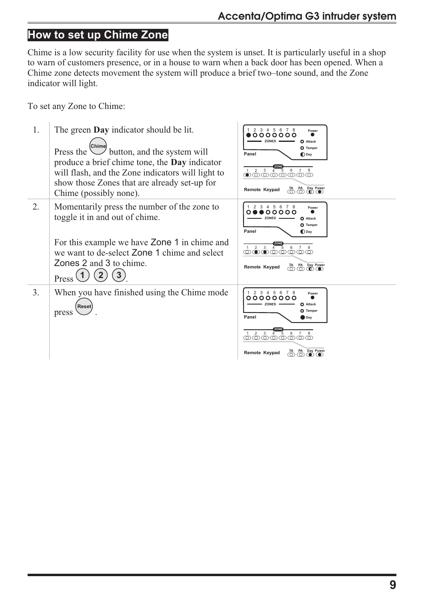# **How to set up Chime Zone**

Chime is a low security facility for use when the system is unset. It is particularly useful in a shop to warn of customers presence, or in a house to warn when a back door has been opened. When a Chime zone detects movement the system will produce a brief two–tone sound, and the Zone indicator will light.

To set any Zone to Chime:

| 1. | The green <b>Day</b> indicator should be lit.<br>Chime<br>$\cup$ button, and the system will<br>Press the<br>produce a brief chime tone, the <b>Day</b> indicator<br>will flash, and the Zone indicators will light to<br>show those Zones that are already set-up for<br>Chime (possibly none). | 2 3 4 5 6 7 8<br>Power<br>0000000<br><b>ZONES</b><br>O Attack<br>O Tamper<br>Panel<br>$\bigcirc$ Day<br>ZONE<br>3<br>6<br>-5<br>$\bigcirc$ $\circ$ $\circ$ $\circ$ $\circ$ $\circ$<br>ത<br>TA PA Day Power<br>Remote Keypad<br>$\textcircled{r}$ $\textcircled{r}$<br>ത |
|----|--------------------------------------------------------------------------------------------------------------------------------------------------------------------------------------------------------------------------------------------------------------------------------------------------|-------------------------------------------------------------------------------------------------------------------------------------------------------------------------------------------------------------------------------------------------------------------------|
| 2. | Momentarily press the number of the zone to<br>toggle it in and out of chime.<br>For this example we have <b>Zone 1</b> in chime and<br>we want to de-select Zone 1 chime and select<br>Zones 2 and 3 to chime.<br>$\mathbf{3}$<br>Press                                                         | 2 3 4 5 6 7 8<br>Power<br>00000<br><b>ZONES</b><br><b>O</b> Attack<br>O Tamper<br>Panel<br>$\bigcirc$ Day<br>$2^{\circ}$<br>$\overline{3}$<br>6<br>-5<br>$\overline{4}$<br>@@@@@@@@<br>$\overline{\bigcirc}$ PA Day Power<br>Remote Keypad                              |
| 3. | When you have finished using the Chime mode<br>Reset<br>press                                                                                                                                                                                                                                    | 1 2 3 4 5 6 7 8<br>Power<br>00000000<br><b>ZONES</b><br><b>O</b> Attack<br>O Tamper<br>Panel<br>Day<br>$1 \quad 2$<br>3<br>6<br>5<br>$\textcircled{a}$ $\textcircled{a}$ $\textcircled{a}$ $\textcircled{a}$<br>$\underbrace{\hbox{TA}}$ PA Day Power<br>Remote Keypad  |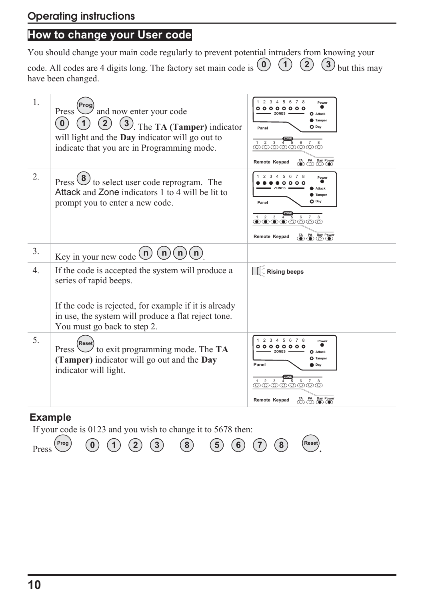# **How to change your User code**

You should change your main code regularly to prevent potential intruders from knowing your

code. All codes are 4 digits long. The factory set main code is  $\begin{pmatrix} 0 \\ 1 \end{pmatrix}$   $\begin{pmatrix} 1 \\ 2 \end{pmatrix}$   $\begin{pmatrix} 3 \\ 3 \end{pmatrix}$  but this may have been changed.

| 1. | Prog<br>and now enter your code<br>Press<br>$\bf{0}$<br>3). The TA (Tamper) indicator<br>will light and the <b>Day</b> indicator will go out to<br>indicate that you are in Programming mode. | 2 3 4 5 6 7 8<br>Power<br>。。。。。。。。<br><b>ZONES</b><br><b>O</b> Attack<br>Tamper<br>O Day<br>Panel<br>3 <sup>1</sup><br>$\overline{2}$<br>$6\phantom{.0}$<br>$4 \overline{5}$<br>@@@@@@@@<br>PA Day Power<br>$\overline{\bullet}$<br>Remote Keypad                                                                   |
|----|-----------------------------------------------------------------------------------------------------------------------------------------------------------------------------------------------|---------------------------------------------------------------------------------------------------------------------------------------------------------------------------------------------------------------------------------------------------------------------------------------------------------------------|
| 2. | Press $\bigcirc$ to select user code reprogram. The<br>Attack and Zone indicators 1 to 4 will be lit to<br>prompt you to enter a new code.                                                    | 5<br>- 6<br>78<br>Power<br>o o<br><b>ZONES</b><br>Attack<br>Tamper<br>O Day<br>Panel<br>2<br>$\mathbf{3}$<br>6<br>$\bullet\hspace{-1.4pt}\bullet\hspace{-1.4pt}\bullet\hspace{-1.4pt}\bullet\hspace{-1.4pt}\circ\hspace{-1.4pt}\bullet\hspace{-1.4pt}\circ\hspace{-1.4pt}\circ$<br>TA PA Day Power<br>Remote Keypad |
| 3. | n<br>n<br>n<br>Key in your new code $(n)$                                                                                                                                                     |                                                                                                                                                                                                                                                                                                                     |
| 4. | If the code is accepted the system will produce a<br>series of rapid beeps.<br>If the code is rejected, for example if it is already<br>in use, the system will produce a flat reject tone.   | $\mathbb H$ Rising beeps                                                                                                                                                                                                                                                                                            |
|    | You must go back to step 2.                                                                                                                                                                   |                                                                                                                                                                                                                                                                                                                     |
| 5. | Reset<br>$\overline{\phantom{a}}$ to exit programming mode. The TA<br>Press<br>(Tamper) indicator will go out and the Day<br>indicator will light.                                            | 2 3 4 5 6 7 8<br>Power<br>。。。。。。。。<br><b>ZONES</b><br><b>O</b> Attack<br>O Tamper<br>Panel<br>D Dav<br>$1 \t2 \t3 \t4 \t5 \t6 \t7 \t8$<br>$\overline{D}$ PA Day Power<br>Remote Keypad                                                                                                                              |

#### **Example**

If your code is 0123 and you wish to change it to 5678 then:

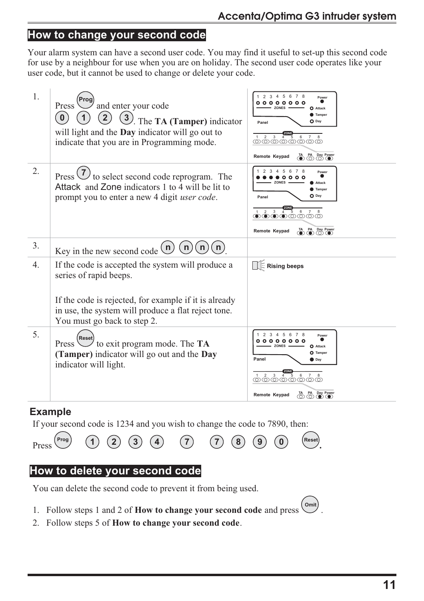#### **How to change your second code**

Your alarm system can have a second user code. You may find it useful to set-up this second code for use by a neighbour for use when you are on holiday. The second user code operates like your user code, but it cannot be used to change or delete your code.

| 1. | Prog<br>and enter your code<br>Press<br>$\mathbf{2}$<br>$\mathbf{0}$<br>$\binom{3}{ }$<br>The TA (Tamper) indicator<br>will light and the <b>Day</b> indicator will go out to<br>indicate that you are in Programming mode. | 2 3 4 5 6<br>$\overline{7}$<br>Power<br>$000000$<br><b>ZONES</b><br>O Attack<br>Tamper<br>O Day<br>Panel<br>$\mathbf{3}$<br>6<br>$\overline{4}$<br>-5<br>©©©©©©©<br>TA PA Day Power<br>Remote Keypad                                                                                                 |
|----|-----------------------------------------------------------------------------------------------------------------------------------------------------------------------------------------------------------------------------|------------------------------------------------------------------------------------------------------------------------------------------------------------------------------------------------------------------------------------------------------------------------------------------------------|
| 2. | to select second code reprogram. The<br>Press<br>Attack and Zone indicators 1 to 4 will be lit to<br>prompt you to enter a new 4 digit <i>user code</i> .                                                                   | 3 4 5 6 7 8<br>Power<br>0000<br><b>ZONES</b><br>Attack<br><b>Tamper</b><br>O Day<br>Panel<br>3 <sup>1</sup><br>2<br>$^{\rm 6}$<br>$\overline{4}$<br>5<br>$\mathbf{O}$ $\mathbf{O}$ $\mathbf{O}$ $\mathbf{O}$ $\mathbf{O}$ $\mathbf{O}$ $\mathbf{O}$ $\mathbf{O}$<br>TA PA Day Power<br>Remote Keypad |
| 3. | n<br>n<br>n<br>Key in the new second code $\cup$                                                                                                                                                                            |                                                                                                                                                                                                                                                                                                      |
| 4. | If the code is accepted the system will produce a<br>series of rapid beeps.<br>If the code is rejected, for example if it is already<br>in use, the system will produce a flat reject tone.<br>You must go back to step 2.  | <b>E</b> Rising beeps                                                                                                                                                                                                                                                                                |
| 5. | Reset<br>Press $\cup$ to exit program mode. The TA<br>(Tamper) indicator will go out and the Day<br>indicator will light.                                                                                                   | 3 4 5 6 7 8<br>2<br>Power<br>。。。。。。<br><b>ZONES</b><br>O Attack<br><b>O</b> Tamper<br>Panel<br>Day<br>$1 \quad 2 \quad 3$<br>6<br>4<br>5<br>@@@@@@@@<br>$\overline{10}$ $\overline{10}$ $\overline{10}$ $\overline{10}$ $\overline{10}$ $\overline{10}$<br>Remote Keypad                             |

#### **Example**

If your second code is 1234 and you wish to change the code to 7890, then:



### **How to delete your second code**

You can delete the second code to prevent it from being used.

- 1. Follow steps 1 and 2 of **How to change your second code** and press  $\overrightarrow{O_{\text{unit}}}.$
- 2. Follow steps 5 of **How to change your second code**.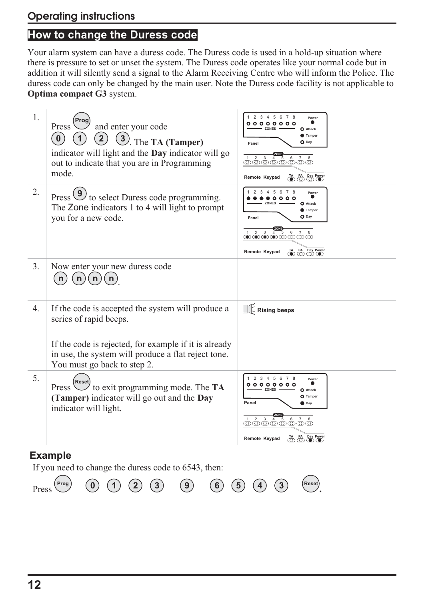### **How to change the Duress code**

Your alarm system can have a duress code. The Duress code is used in a hold-up situation where there is pressure to set or unset the system. The Duress code operates like your normal code but in addition it will silently send a signal to the Alarm Receiving Centre who will inform the Police. The duress code can only be changed by the main user. Note the Duress code facility is not applicable to **Optima compact G3** system.

| 1. | and enter your code<br>Press<br>$\mathbf{0}$<br>The TA (Tamper)<br>indicator will light and the <b>Day</b> indicator will go<br>out to indicate that you are in Programming<br>mode.                                       | 2 3 4 5 6 7<br>Power<br>000000<br><b>ZONES</b><br><b>O</b> Attack<br>Tamper<br>$O$ Day<br>Panel<br>$\begin{array}{c c} \hline \textbf{CD} & \textbf{CD} & \textbf{CD} \\ \hline 1 & 2 & 3 & 4 & 5 & 6 & 7 & 8 \\ \hline 0 & 0 & 0 & 0 & 0 & 0 & 0 \\ \hline \end{array}$<br>TA PA Day Power<br>Remote Keypad    |
|----|----------------------------------------------------------------------------------------------------------------------------------------------------------------------------------------------------------------------------|-----------------------------------------------------------------------------------------------------------------------------------------------------------------------------------------------------------------------------------------------------------------------------------------------------------------|
| 2. | Press $\bigcirc$ to select Duress code programming.<br>The Zone indicators 1 to 4 will light to prompt<br>you for a new code.                                                                                              | 2 3 4 5 6 7 8<br>Power<br>$\circ$<br>$\circ$<br><b>ZONES</b><br>o<br>Attack<br><b>Tamper</b><br>$O$ Day<br>Panel<br><u>ာစီစီစီစီစီစီစီဖီ</u><br>TA PA Day Power<br>Remote Keypad                                                                                                                                |
| 3. | Now enter your new duress code<br>n<br>n)<br>$\lfloor n \rfloor$<br>$\mathsf{n}$                                                                                                                                           |                                                                                                                                                                                                                                                                                                                 |
| 4. | If the code is accepted the system will produce a<br>series of rapid beeps.<br>If the code is rejected, for example if it is already<br>in use, the system will produce a flat reject tone.<br>You must go back to step 2. | Rising beeps                                                                                                                                                                                                                                                                                                    |
| 5. | Reset<br>Press $\cup$ to exit programming mode. The TA<br>(Tamper) indicator will go out and the Day<br>indicator will light.                                                                                              | 1 2 3 4 5 6 7 8<br>Power<br>。。。。。。。。<br><b>ZONES</b><br><b>O</b> Attack<br>O Tamper<br>Panel<br>Day<br>$\begin{array}{cccccccccc} 1 & 2 & 3 & \overline{4} & \overline{5} & 6 & 7 & 8 \\ \hline 0 & 0 & 0 & 0 & 0 & 0 & 0 \\ \hline \end{array}$<br>Day Power<br>Remote Keypad<br>ö<br>$\circledcirc$ $\bullet$ |

#### **Example**

If you need to change the duress code to 6543, then:

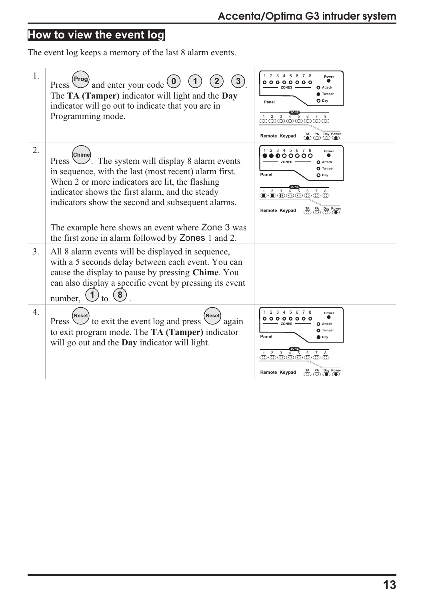# **How to view the event log**

The event log keeps a memory of the last 8 alarm events.

| 1.               | Prog<br>$\mathcal{L}$ and enter your code $\mathcal{L}$<br>Press $\vee$<br>The TA (Tamper) indicator will light and the Day<br>indicator will go out to indicate that you are in<br>Programming mode.                                                                                                                                         | 2 3 4 5 6 7 8<br>Power<br>$\circ$<br>000<br>ZONES<br>Attack<br><b>Tamper</b><br>$O$ Day<br>Panel<br>$1 \quad 2 \quad 3 \quad 4 \quad 5$<br>6<br>@@@@@@@@<br>TA PA Day Power<br>Remote Keypad                                                                                                                               |
|------------------|-----------------------------------------------------------------------------------------------------------------------------------------------------------------------------------------------------------------------------------------------------------------------------------------------------------------------------------------------|----------------------------------------------------------------------------------------------------------------------------------------------------------------------------------------------------------------------------------------------------------------------------------------------------------------------------|
| 2.               | (Chime)<br>$\angle$ . The system will display 8 alarm events<br>Press<br>in sequence, with the last (most recent) alarm first.<br>When 2 or more indicators are lit, the flashing<br>indicator shows the first alarm, and the steady<br>indicators show the second and subsequent alarms.<br>The example here shows an event where Zone 3 was | 2 3 4 5 6 7 8<br>Power<br>000000<br><b>ZONES</b><br>Ο<br>Attack<br>O Tamper<br>Panel<br>$O$ Day<br>$\overline{\mathbf{3}}$<br>6<br>$1 \quad 2$<br>$\overline{4}$<br>5<br>$\mathbf{O}$ $\mathbf{O}$ $\mathbf{O}$ $\mathbf{O}$ $\mathbf{O}$ $\mathbf{O}$ $\mathbf{O}$<br>$\overline{\bigcirc}$ PA Day Power<br>Remote Keypad |
| 3.               | the first zone in alarm followed by Zones 1 and 2.<br>All 8 alarm events will be displayed in sequence,<br>with a 5 seconds delay between each event. You can<br>cause the display to pause by pressing Chime. You<br>can also display a specific event by pressing its event<br>$($ 8 $)$<br>number, $\bigcup$<br>to                         |                                                                                                                                                                                                                                                                                                                            |
| $\overline{4}$ . | <b>Reset</b><br><b>Reset</b><br>Press $\cup$ to exit the event log and press<br>' again<br>to exit program mode. The TA (Tamper) indicator<br>will go out and the <b>Day</b> indicator will light.                                                                                                                                            | 3<br>$\overline{4}$<br>5<br>6 7 8<br>Power<br>。。。。。。。<br><b>ZONES</b><br>Attack<br>O Tamper<br>Panel<br>Day<br>$1 \quad 2 \quad 3$<br>$\,6\,$<br>$4 \overline{5}$<br>8<br>@@@@@@@@<br>PA Day Power<br>TA<br>Remote Keypad<br>തതനൈ                                                                                          |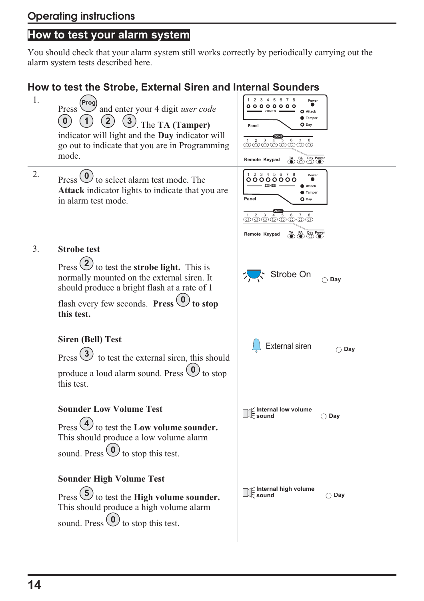# **How to test your alarm system**

You should check that your alarm system still works correctly by periodically carrying out the alarm system tests described here.

### **How to test the Strobe, External Siren and Internal Sounders**

| 1. | Prog) and enter your 4 digit <i>user code</i><br>Press<br>$\left( \frac{2}{2} \right)$<br>$\left[ \begin{array}{c} 0 \end{array} \right]$<br>3). The TA (Tamper)<br>indicator will light and the Day indicator will<br>go out to indicate that you are in Programming<br>mode.            | 2 3 4 5 6 7 8<br>Power<br>000000<br><b>ZONES</b><br>O Attack<br>Tamper<br>$O$ Day<br>Panel<br>TA PA Day Power<br>Remote Keypad                                        |
|----|-------------------------------------------------------------------------------------------------------------------------------------------------------------------------------------------------------------------------------------------------------------------------------------------|-----------------------------------------------------------------------------------------------------------------------------------------------------------------------|
| 2. | Press $\bigcirc$ to select alarm test mode. The<br><b>Attack</b> indicator lights to indicate that you are<br>in alarm test mode.                                                                                                                                                         | 2 3 4 5 6 7 8<br>Power<br>000000<br><b>ZONES</b><br>Attack<br>Tamper<br>Panel<br>$\mathbf 0$ Day<br>$\mathbf{3}$<br>6<br>@@@@@@@@<br>TA PA Day Power<br>Remote Keypad |
| 3. | <b>Strobe test</b><br>Press $\bigcirc$ to test the <b>strobe light.</b> This is<br>normally mounted on the external siren. It<br>should produce a bright flash at a rate of 1<br>flash every few seconds. Press $\left( \begin{matrix} 0 \\ 0 \end{matrix} \right)$ to stop<br>this test. | Strobe On<br>$\bigcap$ Day                                                                                                                                            |
|    | <b>Siren (Bell) Test</b><br>Press (3)<br>to test the external siren, this should<br>produce a loud alarm sound. Press $\circled{0}$ to stop<br>this test.                                                                                                                                 | External siren<br>$\bigcirc$ Day                                                                                                                                      |
|    | <b>Sounder Low Volume Test</b><br>Press $\left($ 4 $\right)$ to test the Low volume sounder.<br>This should produce a low volume alarm<br>sound. Press $\left( \begin{matrix} 0 \\ 0 \end{matrix} \right)$ to stop this test.                                                             | Internal low volume<br>Sound<br>$\bigcirc$ Day                                                                                                                        |
|    | <b>Sounder High Volume Test</b><br>Press $(5)$ to test the High volume sounder.<br>This should produce a high volume alarm<br>sound. Press $\bigcirc$ to stop this test.                                                                                                                  | ∐∷Internal high volume<br>∏∷sound<br>$\bigcirc$ Day                                                                                                                   |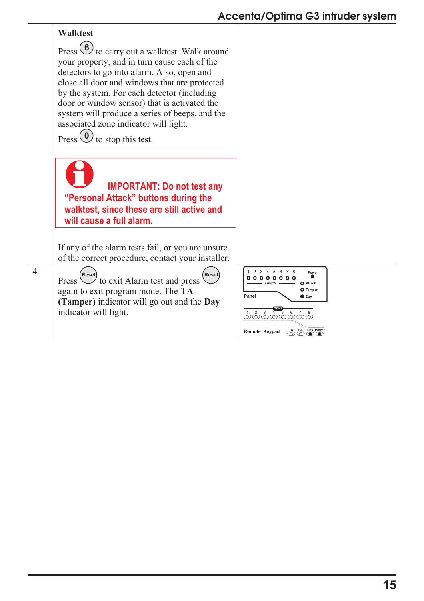